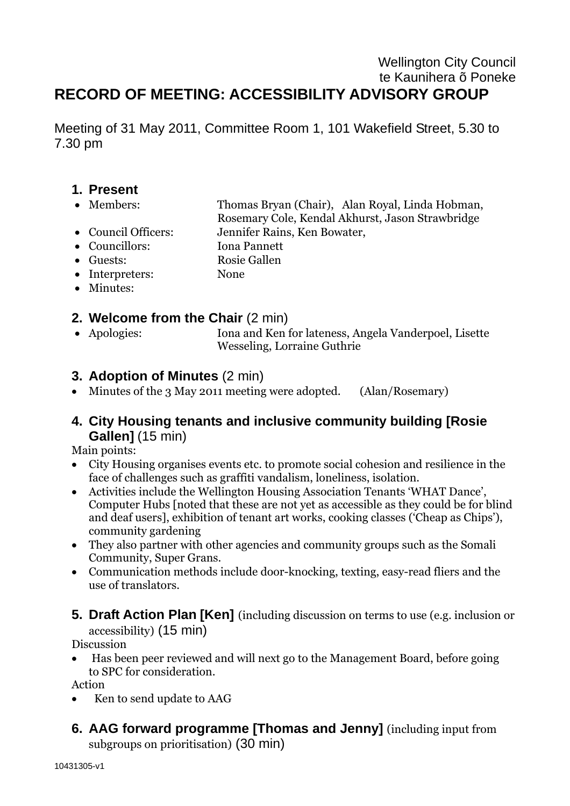# Wellington City Council te Kaunihera õ Poneke **RECORD OF MEETING: ACCESSIBILITY ADVISORY GROUP**

Meeting of 31 May 2011, Committee Room 1, 101 Wakefield Street, 5.30 to 7.30 pm

- **1. Present**
- Members: Thomas Bryan (Chair), Alan Royal, Linda Hobman,
	- Rosemary Cole, Kendal Akhurst, Jason Strawbridge
- Council Officers: Jennifer Rains, Ken Bowater,
- Councillors: Iona Pannett
- Guests: Rosie Gallen
- Interpreters: None
- Minutes:

## **2. Welcome from the Chair** (2 min)

 Apologies: Iona and Ken for lateness, Angela Vanderpoel, Lisette Wesseling, Lorraine Guthrie

# **3. Adoption of Minutes** (2 min)

• Minutes of the 3 May 2011 meeting were adopted. (Alan/Rosemary)

# **4. City Housing tenants and inclusive community building [Rosie Gallen]** (15 min)

Main points:

- City Housing organises events etc. to promote social cohesion and resilience in the face of challenges such as graffiti vandalism, loneliness, isolation.
- Activities include the Wellington Housing Association Tenants 'WHAT Dance', Computer Hubs [noted that these are not yet as accessible as they could be for blind and deaf users], exhibition of tenant art works, cooking classes ('Cheap as Chips'), community gardening
- They also partner with other agencies and community groups such as the Somali Community, Super Grans.
- Communication methods include door-knocking, texting, easy-read fliers and the use of translators.
- **5. Draft Action Plan [Ken]** (including discussion on terms to use (e.g. inclusion or accessibility) (15 min)

Discussion

 Has been peer reviewed and will next go to the Management Board, before going to SPC for consideration.

Action

- Ken to send update to AAG
- **6. AAG forward programme [Thomas and Jenny]** (including input from subgroups on prioritisation) (30 min)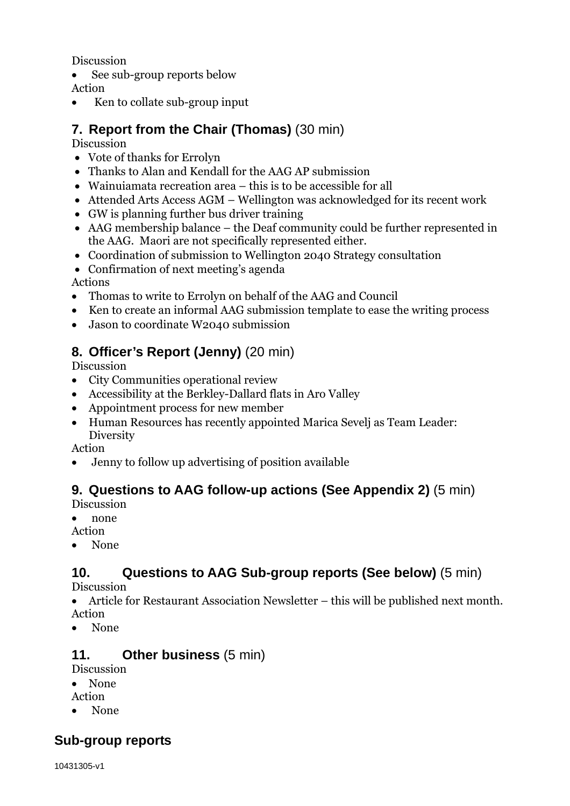Discussion

• See sub-group reports below

Action

• Ken to collate sub-group input

# **7. Report from the Chair (Thomas)** (30 min)

## Discussion

- Vote of thanks for Errolyn
- Thanks to Alan and Kendall for the AAG AP submission
- Wainuiamata recreation area this is to be accessible for all
- Attended Arts Access AGM Wellington was acknowledged for its recent work
- GW is planning further bus driver training
- AAG membership balance the Deaf community could be further represented in the AAG. Maori are not specifically represented either.
- Coordination of submission to Wellington 2040 Strategy consultation
- Confirmation of next meeting's agenda

Actions

- Thomas to write to Errolyn on behalf of the AAG and Council
- Ken to create an informal AAG submission template to ease the writing process
- Jason to coordinate W2040 submission

# **8. Officer's Report (Jenny)** (20 min)

Discussion

- City Communities operational review
- Accessibility at the Berkley-Dallard flats in Aro Valley
- Appointment process for new member
- Human Resources has recently appointed Marica Sevelj as Team Leader: **Diversity**

Action

Jenny to follow up advertising of position available

# **9. Questions to AAG follow-up actions (See Appendix 2)** (5 min)

Discussion

• none

- Action
- None

# **10. Questions to AAG Sub-group reports (See below)** (5 min)

Discussion

 Article for Restaurant Association Newsletter – this will be published next month. Action

• None

# **11. Other business** (5 min)

Discussion

None

Action

None

# **Sub-group reports**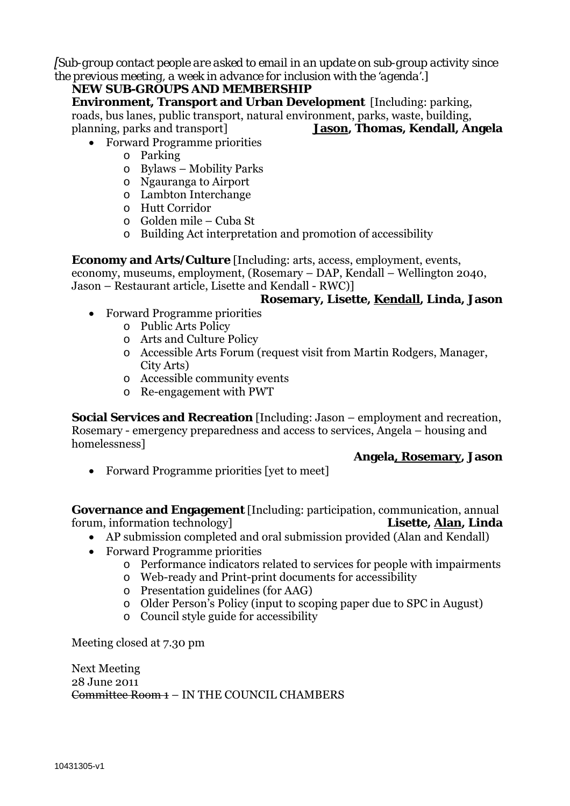*[Sub-group contact people are asked to email in an update on sub-group activity since the previous meeting, a week in advance for inclusion with the 'agenda'.]*

### **NEW SUB-GROUPS AND MEMBERSHIP**

**Environment, Transport and Urban Development** [Including: parking, roads, bus lanes, public transport, natural environment, parks, waste, building, planning, parks and transport] **Jason, Thomas, Kendall, Angela**

- Forward Programme priorities
	- o Parking
	- o Bylaws Mobility Parks
	- o Ngauranga to Airport
	- o Lambton Interchange
	- o Hutt Corridor
	- o Golden mile Cuba St
	- o Building Act interpretation and promotion of accessibility

**Economy and Arts/Culture** [Including: arts, access, employment, events, economy, museums, employment, (Rosemary – DAP, Kendall – Wellington 2040,

Jason – Restaurant article, Lisette and Kendall - RWC)]

### **Rosemary, Lisette, Kendall, Linda, Jason**

- Forward Programme priorities
	- o Public Arts Policy
	- o Arts and Culture Policy
	- o Accessible Arts Forum (request visit from Martin Rodgers, Manager, City Arts)
	- o Accessible community events
	- o Re-engagement with PWT

**Social Services and Recreation** [Including: Jason – employment and recreation, Rosemary - emergency preparedness and access to services, Angela – housing and homelessness]

#### **Angela, Rosemary, Jason**

Forward Programme priorities [yet to meet]

**Governance and Engagement** [Including: participation, communication, annual forum, information technology] **Lisette, Alan, Linda**

- AP submission completed and oral submission provided (Alan and Kendall)
- Forward Programme priorities
	- o Performance indicators related to services for people with impairments
	- o Web-ready and Print-print documents for accessibility
	- o Presentation guidelines (for AAG)
	- o Older Person's Policy (input to scoping paper due to SPC in August)
	- o Council style guide for accessibility

Meeting closed at 7.30 pm

Next Meeting 28 June 2011 Committee Room 1 – IN THE COUNCIL CHAMBERS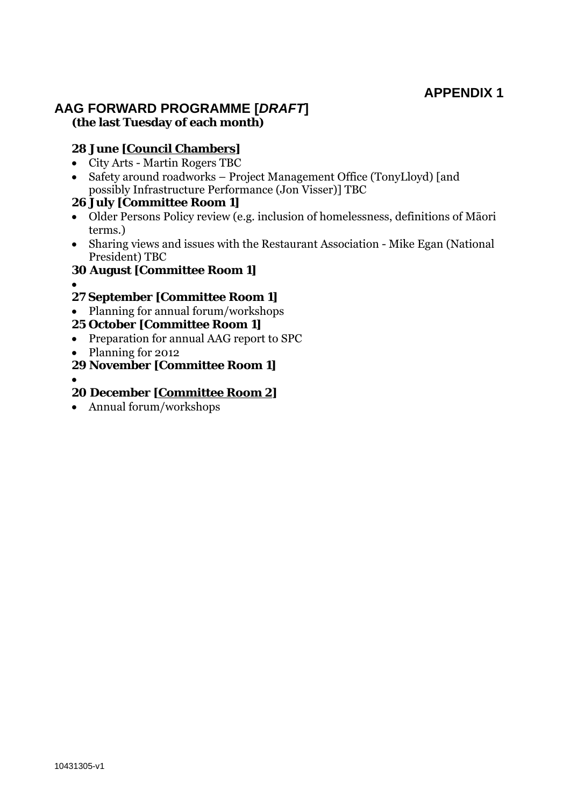# **APPENDIX 1**

## **AAG FORWARD PROGRAMME [***DRAFT***] (the last Tuesday of each month)**

### **28 June [Council Chambers]**

- City Arts Martin Rogers TBC
- Safety around roadworks Project Management Office (TonyLloyd) [and possibly Infrastructure Performance (Jon Visser)] TBC

### **26 July [Committee Room 1]**

- Older Persons Policy review (e.g. inclusion of homelessness, definitions of Māori terms.)
- Sharing views and issues with the Restaurant Association Mike Egan (National President) TBC
- **30 August [Committee Room 1]**
- $\bullet$
- **27 September [Committee Room 1]**
- Planning for annual forum/workshops

### **25 October [Committee Room 1]**

- Preparation for annual AAG report to SPC
- Planning for 2012
- **29 November [Committee Room 1]**
- $\bullet$

### **20 December [Committee Room 2]**

Annual forum/workshops